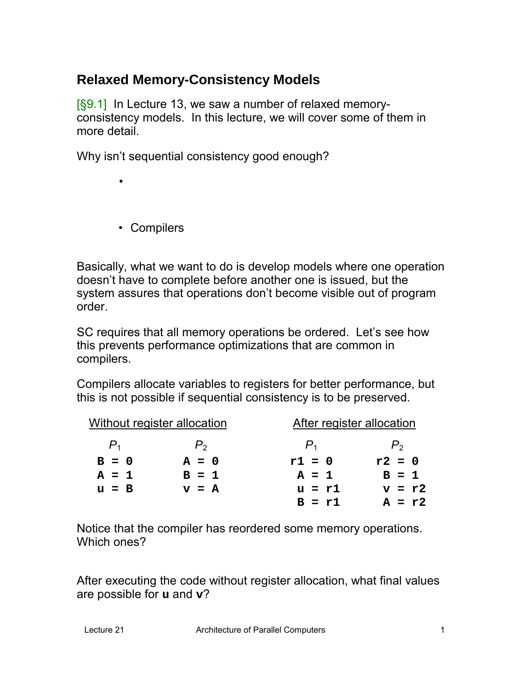# **Relaxed Memory-Consistency Models**

[§9.1] In Lecture 13, we saw a number of relaxed memoryconsistency models. In this lecture, we will cover some of them in more detail.

Why isn't sequential consistency good enough?

• Compilers

•

Basically, what we want to do is develop models where one operation doesn't have to complete before another one is issued, but the system assures that operations don't become visible out of program order.

SC requires that all memory operations be ordered. Let's see how this prevents performance optimizations that are common in compilers.

Compilers allocate variables to registers for better performance, but this is not possible if sequential consistency is to be preserved.

|         | Without register allocation | After register allocation |          |
|---------|-----------------------------|---------------------------|----------|
| $P_{1}$ | $P_{2}$                     | $P_{1}$                   | $P_{2}$  |
| $B = 0$ | $A = 0$                     | $r1 = 0$                  | $r2 = 0$ |
| $A = 1$ | $B = 1$                     | $A = 1$                   | $B = 1$  |
| $u = B$ | $v = A$                     | $u = r1$                  | $v = r2$ |
|         |                             | $R = r1$                  | $A = r2$ |

Notice that the compiler has reordered some memory operations. Which ones?

After executing the code without register allocation, what final values are possible for **u** and **v**?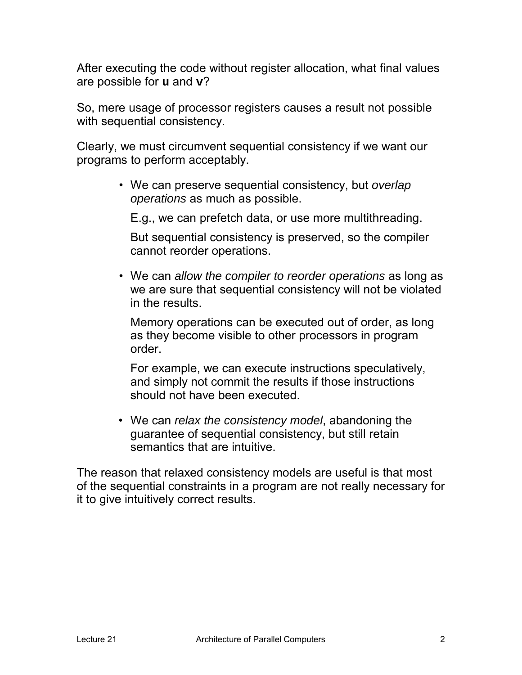After executing the code without register allocation, what final values are possible for **u** and **v**?

So, mere usage of processor registers causes a result not possible with sequential consistency.

Clearly, we must circumvent sequential consistency if we want our programs to perform acceptably.

> • We can preserve sequential consistency, but *overlap operations* as much as possible.

E.g., we can prefetch data, or use more multithreading.

But sequential consistency is preserved, so the compiler cannot reorder operations.

• We can *allow the compiler to reorder operations* as long as we are sure that sequential consistency will not be violated in the results.

Memory operations can be executed out of order, as long as they become visible to other processors in program order.

For example, we can execute instructions speculatively, and simply not commit the results if those instructions should not have been executed.

• We can *relax the consistency model*, abandoning the guarantee of sequential consistency, but still retain semantics that are intuitive.

The reason that relaxed consistency models are useful is that most of the sequential constraints in a program are not really necessary for it to give intuitively correct results.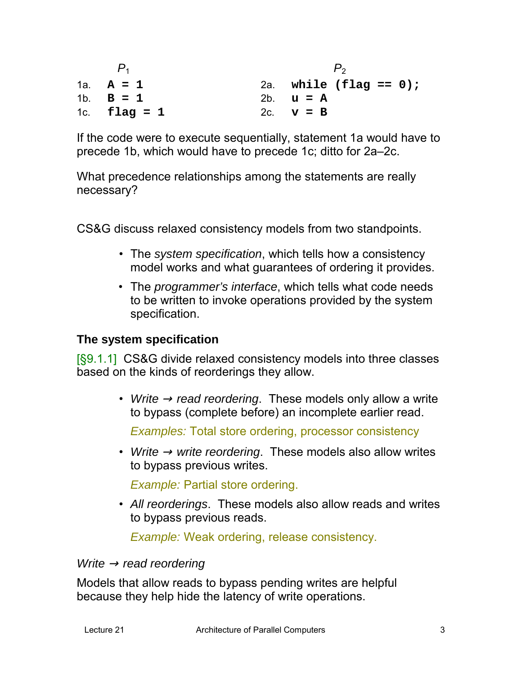$P_1$   $P_2$ 1a. **A=1** 1b. **B=1** 1c. **flag = 1** 2a. **while (flag == 0);** 2b. **u=A** 2c. **v=B**

If the code were to execute sequentially, statement 1a would have to precede 1b, which would have to precede 1c; ditto for 2a–2c.

What precedence relationships among the statements are really necessary?

CS&G discuss relaxed consistency models from two standpoints.

- The *system specification*, which tells how a consistency model works and what guarantees of ordering it provides.
- The *programmer's interface*, which tells what code needs to be written to invoke operations provided by the system specification.

### **The system specification**

[§9.1.1] CS&G divide relaxed consistency models into three classes based on the kinds of reorderings they allow.

> • *Write*  $\rightarrow$  read reordering. These models only allow a write to bypass (complete before) an incomplete earlier read.

*Examples:* Total store ordering, processor consistency

• *Write* <sup>→</sup> *write reordering*. These models also allow writes to bypass previous writes.

*Example:* Partial store ordering.

• *All reorderings*. These models also allow reads and writes to bypass previous reads.

*Example:* Weak ordering, release consistency.

#### *Write* <sup>→</sup> *read reordering*

Models that allow reads to bypass pending writes are helpful because they help hide the latency of write operations.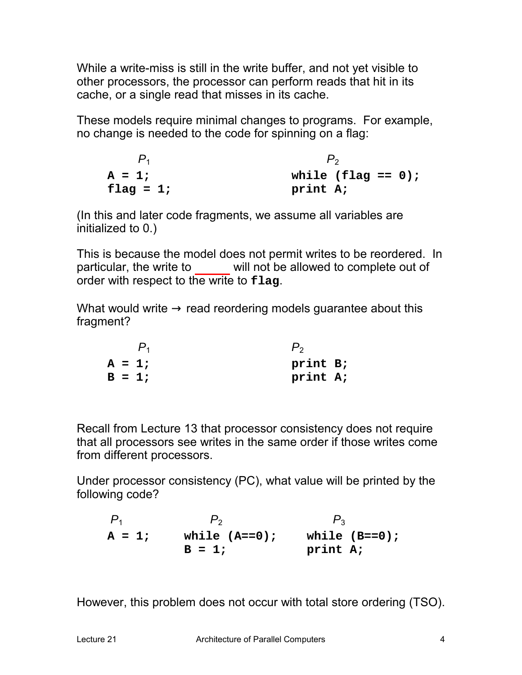While a write-miss is still in the write buffer, and not yet visible to other processors, the processor can perform reads that hit in its cache, or a single read that misses in its cache.

These models require minimal changes to programs. For example, no change is needed to the code for spinning on a flag:

 $P_1$   $P_2$  $A = 1;$ **flag = 1; while (flag == 0); print A;**

(In this and later code fragments, we assume all variables are initialized to 0.)

This is because the model does not permit writes to be reordered. In particular, the write to will not be allowed to complete out of order with respect to the write to **flag**.

What would write  $\rightarrow$  read reordering models guarantee about this fragment?

|  | $P_1$    | $P_{2}$  |  |
|--|----------|----------|--|
|  | $A = 1;$ | print B; |  |
|  | $B = 1;$ | print A; |  |

Recall from Lecture 13 that processor consistency does not require that all processors see writes in the same order if those writes come from different processors.

Under processor consistency (PC), what value will be printed by the following code?

 $P_1$   $P_2$   $P_3$ **A = 1; while (A==0); while (B==0);**  $B = 1;$ **print A;**

However, this problem does not occur with total store ordering (TSO).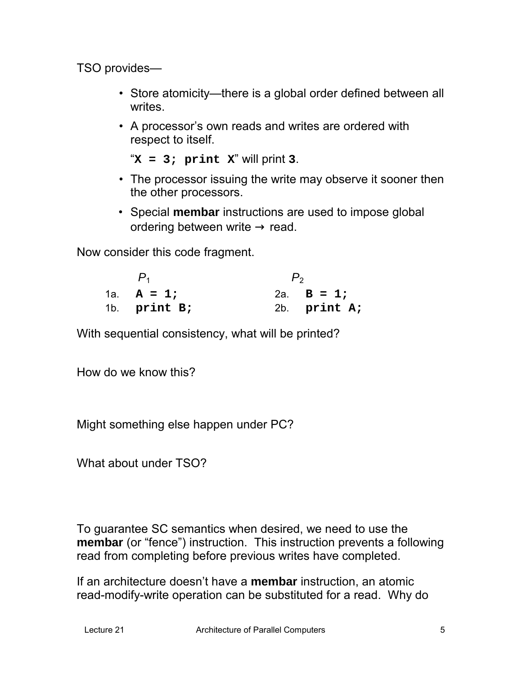TSO provides—

- Store atomicity—there is a global order defined between all writes.
- A processor's own reads and writes are ordered with respect to itself.

```
"X = 3; print X" will print 3.
```
- The processor issuing the write may observe it sooner then the other processors.
- Special **membar** instructions are used to impose global ordering between write  $\rightarrow$  read.

Now consider this code fragment.

| 1a. $A = 1;$   | 2a. $B = 1$ ;  |
|----------------|----------------|
| 1b. $print B;$ | 2b. $print A;$ |

With sequential consistency, what will be printed?

How do we know this?

Might something else happen under PC?

What about under TSO?

To guarantee SC semantics when desired, we need to use the **membar** (or "fence") instruction. This instruction prevents a following read from completing before previous writes have completed.

If an architecture doesn't have a **membar** instruction, an atomic read-modify-write operation can be substituted for a read. Why do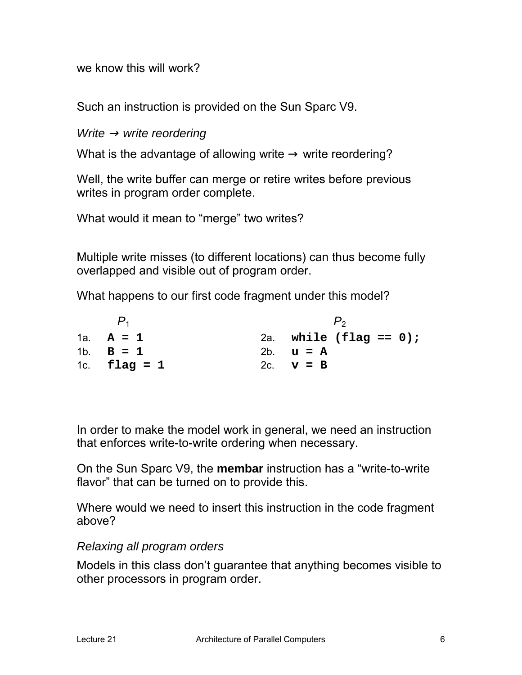we know this will work?

Such an instruction is provided on the Sun Sparc V9.

*Write* <sup>→</sup> *write reordering*

What is the advantage of allowing write  $\rightarrow$  write reordering?

Well, the write buffer can merge or retire writes before previous writes in program order complete.

What would it mean to "merge" two writes?

Multiple write misses (to different locations) can thus become fully overlapped and visible out of program order.

What happens to our first code fragment under this model?

| $P_1$          |                                  |
|----------------|----------------------------------|
| 1a. $A = 1$    | 2a. while $(\text{flag} == 0)$ ; |
| 1b. $B = 1$    | 2b. $u = A$                      |
| 1c. $flag = 1$ | 2c. $v = B$                      |

In order to make the model work in general, we need an instruction that enforces write-to-write ordering when necessary.

On the Sun Sparc V9, the **membar** instruction has a "write-to-write flavor" that can be turned on to provide this.

Where would we need to insert this instruction in the code fragment above?

### *Relaxing all program orders*

Models in this class don't guarantee that anything becomes visible to other processors in program order.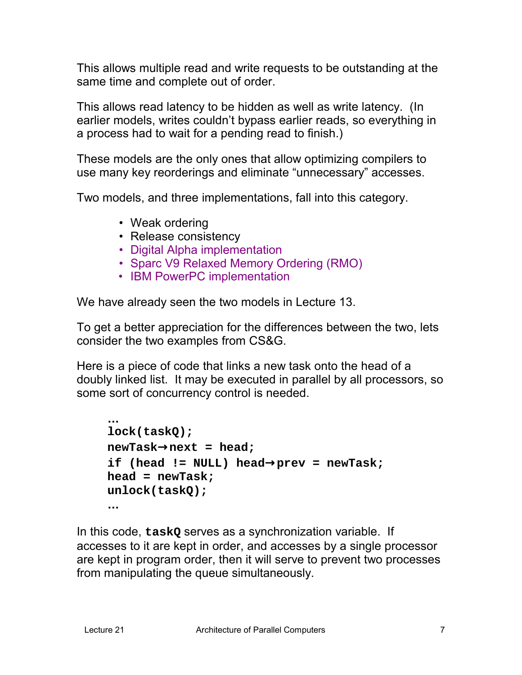This allows multiple read and write requests to be outstanding at the same time and complete out of order.

This allows read latency to be hidden as well as write latency. (In earlier models, writes couldn't bypass earlier reads, so everything in a process had to wait for a pending read to finish.)

These models are the only ones that allow optimizing compilers to use many key reorderings and eliminate "unnecessary" accesses.

Two models, and three implementations, fall into this category.

- Weak ordering
- Release consistency
- Digital Alpha implementation
- Sparc V9 Relaxed Memory Ordering (RMO)
- IBM PowerPC implementation

We have already seen the two models in Lecture 13.

To get a better appreciation for the differences between the two, lets consider the two examples from CS&G.

Here is a piece of code that links a new task onto the head of a doubly linked list. It may be executed in parallel by all processors, so some sort of concurrency control is needed.

```
…
lock(taskQ);
newTask→next = head;
if (head != NULL) head→prev = newTask;
head = newTask;
unlock(taskQ);
…
```
In this code, **taskQ** serves as a synchronization variable. If accesses to it are kept in order, and accesses by a single processor are kept in program order, then it will serve to prevent two processes from manipulating the queue simultaneously.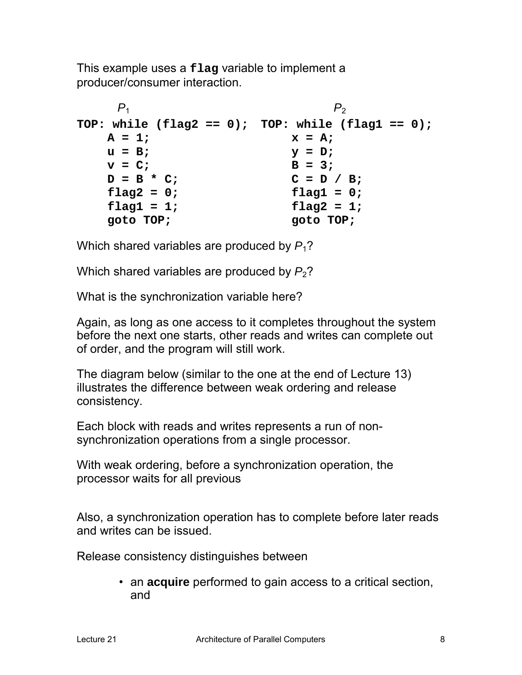This example uses a **flag** variable to implement a producer/consumer interaction.

```
P_1 P_2TOP: while (flag2 == 0);
TOP: while (flag1 == 0);
   A = 1;u = B;
   v = C;
   D = B * C;
   flag2 = 0;
   flag1 = 1;
   goto TOP;
                          x = A;
                          y = D;
                          B = 3;
                          C = D / B;
                          flag1 = 0;
                          flag2 = 1;
                          goto TOP;
```
Which shared variables are produced by  $P_1$ ?

Which shared variables are produced by  $P_2$ ?

What is the synchronization variable here?

Again, as long as one access to it completes throughout the system before the next one starts, other reads and writes can complete out of order, and the program will still work.

The diagram below (similar to the one at the end of Lecture 13) illustrates the difference between weak ordering and release consistency.

Each block with reads and writes represents a run of nonsynchronization operations from a single processor.

With weak ordering, before a synchronization operation, the processor waits for all previous

Also, a synchronization operation has to complete before later reads and writes can be issued.

Release consistency distinguishes between

• an **acquire** performed to gain access to a critical section, and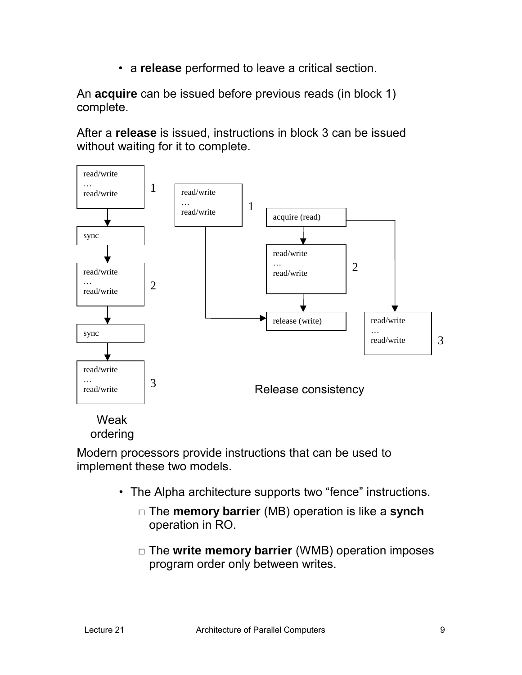• a **release** performed to leave a critical section.

An **acquire** can be issued before previous reads (in block 1) complete.

After a **release** is issued, instructions in block 3 can be issued without waiting for it to complete.



#### Weak ordering

Modern processors provide instructions that can be used to implement these two models.

- The Alpha architecture supports two "fence" instructions.
	- □ The **memory barrier** (MB) operation is like a **synch** operation in RO.
	- □ The **write memory barrier** (WMB) operation imposes program order only between writes.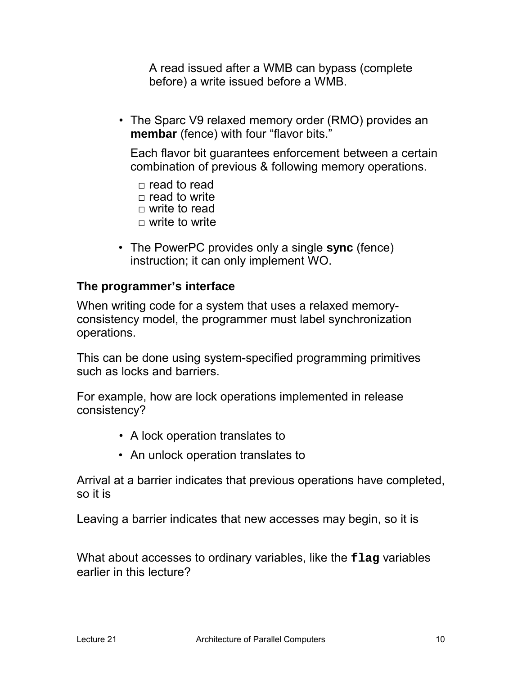A read issued after a WMB can bypass (complete before) a write issued before a WMB.

• The Sparc V9 relaxed memory order (RMO) provides an **membar** (fence) with four "flavor bits."

Each flavor bit guarantees enforcement between a certain combination of previous & following memory operations.

- $\Box$  read to read  $\Box$  read to write  $\Box$  write to read  $\Box$  write to write
- The PowerPC provides only a single **sync** (fence) instruction; it can only implement WO.

## **The programmer's interface**

When writing code for a system that uses a relaxed memoryconsistency model, the programmer must label synchronization operations.

This can be done using system-specified programming primitives such as locks and barriers.

For example, how are lock operations implemented in release consistency?

- A lock operation translates to
- An unlock operation translates to

Arrival at a barrier indicates that previous operations have completed, so it is

Leaving a barrier indicates that new accesses may begin, so it is

What about accesses to ordinary variables, like the **flag** variables earlier in this lecture?